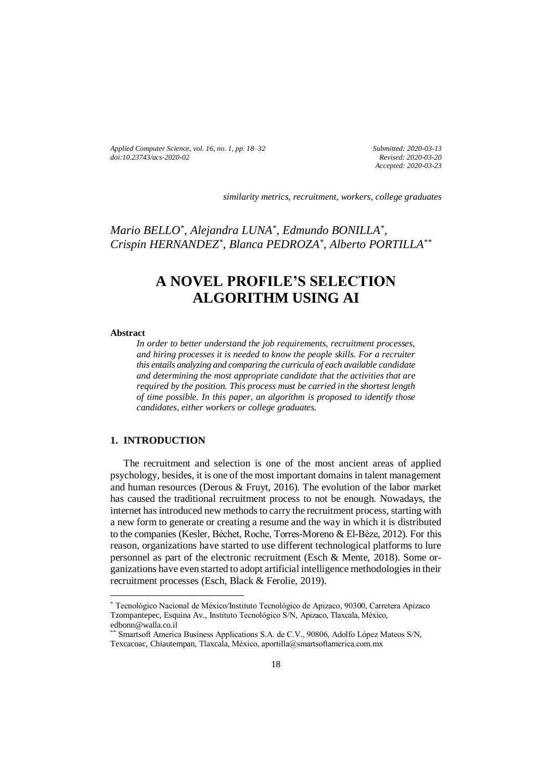*Applied Computer Science, vol. 16, no. 1, pp. 18–32 doi[:10.23743/acs-2020-02](http://acs.pollub.pl/pdf/v16n1/2.pdf)*

*Submitted: 2020-03-13 Revised: 2020-03-20 Accepted: 2020-03-23*

*similarity metrics, recruitment, workers, college graduates*

*Mario BELLO\* , Alejandra LUNA\* , Edmundo BONILLA\* , Crispin HERNANDEZ\* , Blanca PEDROZA\* , Alberto PORTILLA\*\**

# **A NOVEL PROFILE'S SELECTION ALGORITHM USING AI**

#### **Abstract**

 $\overline{a}$ 

*In order to better understand the job requirements, recruitment processes, and hiring processes it is needed to know the people skills. For a recruiter this entails analyzing and comparing the curricula of each available candidate and determining the most appropriate candidate that the activities that are required by the position. This process must be carried in the shortest length of time possible. In this paper, an algorithm is proposed to identify those candidates, either workers or college graduates.*

# **1. INTRODUCTION**

The recruitment and selection is one of the most ancient areas of applied psychology, besides, it is one of the most important domains in talent management and human resources (Derous & Fruyt, 2016). The evolution of the labor market has caused the traditional recruitment process to not be enough. Nowadays, the internet has introduced new methods to carry the recruitment process, starting with a new form to generate or creating a resume and the way in which it is distributed to the companies (Kesler, Béchet, Roche, Torres-Moreno & El-Bèze, 2012). For this reason, organizations have started to use different technological platforms to lure personnel as part of the electronic recruitment (Esch & Mente, 2018). Some organizations have even started to adopt artificial intelligence methodologies in their recruitment processes (Esch, Black & Ferolie, 2019).

<sup>\*</sup> Tecnológico Nacional de México/Instituto Tecnológico de Apizaco, 90300, Carretera Apizaco Tzompantepec, Esquina Av., Instituto Tecnológico S/N, Apizaco, Tlaxcala, México, edbonn@walla.co.il

<sup>\*\*</sup> Smartsoft America Business Applications S.A. de C.V., 90806, Adolfo López Mateos S/N, Texcacoac, Chiautempan, Tlaxcala, México, aportilla@smartsoftamerica.com.mx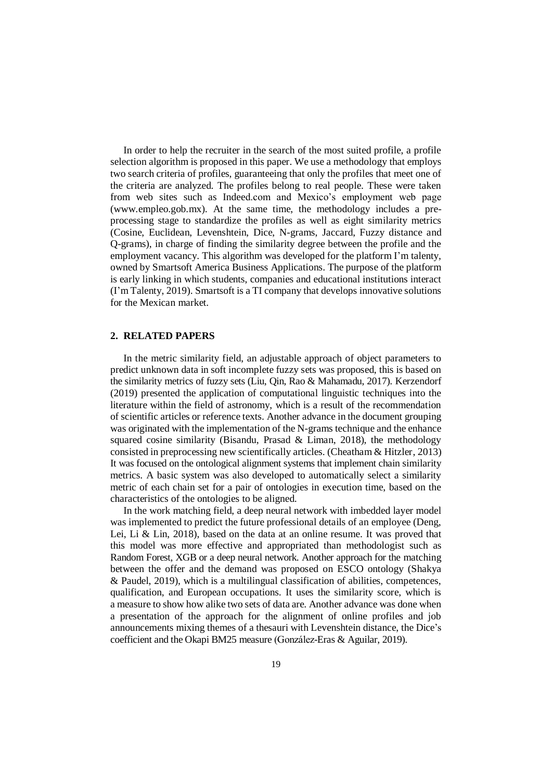In order to help the recruiter in the search of the most suited profile, a profile selection algorithm is proposed in this paper. We use a methodology that employs two search criteria of profiles, guaranteeing that only the profiles that meet one of the criteria are analyzed. The profiles belong to real people. These were taken from web sites such as Indeed.com and Mexico's employment web page (www.empleo.gob.mx). At the same time, the methodology includes a preprocessing stage to standardize the profiles as well as eight similarity metrics (Cosine, Euclidean, Levenshtein, Dice, N-grams, Jaccard, Fuzzy distance and Q-grams), in charge of finding the similarity degree between the profile and the employment vacancy. This algorithm was developed for the platform I'm talenty, owned by Smartsoft America Business Applications. The purpose of the platform is early linking in which students, companies and educational institutions interact (I'm Talenty, 2019). Smartsoft is a TI company that develops innovative solutions for the Mexican market.

# **2. RELATED PAPERS**

In the metric similarity field, an adjustable approach of object parameters to predict unknown data in soft incomplete fuzzy sets was proposed, this is based on the similarity metrics of fuzzy sets (Liu, Qin, Rao & Mahamadu, 2017). Kerzendorf (2019) presented the application of computational linguistic techniques into the literature within the field of astronomy, which is a result of the recommendation of scientific articles or reference texts. Another advance in the document grouping was originated with the implementation of the N-grams technique and the enhance squared cosine similarity (Bisandu, Prasad & Liman, 2018), the methodology consisted in preprocessing new scientifically articles. (Cheatham & Hitzler, 2013) It was focused on the ontological alignment systems that implement chain similarity metrics. A basic system was also developed to automatically select a similarity metric of each chain set for a pair of ontologies in execution time, based on the characteristics of the ontologies to be aligned.

In the work matching field, a deep neural network with imbedded layer model was implemented to predict the future professional details of an employee (Deng, Lei, Li & Lin, 2018), based on the data at an online resume. It was proved that this model was more effective and appropriated than methodologist such as Random Forest, XGB or a deep neural network. Another approach for the matching between the offer and the demand was proposed on ESCO ontology (Shakya & Paudel, 2019), which is a multilingual classification of abilities, competences, qualification, and European occupations. It uses the similarity score, which is a measure to show how alike two sets of data are. Another advance was done when a presentation of the approach for the alignment of online profiles and job announcements mixing themes of a thesauri with Levenshtein distance, the Dice's coefficient and the Okapi BM25 measure (González-Eras & Aguilar, 2019).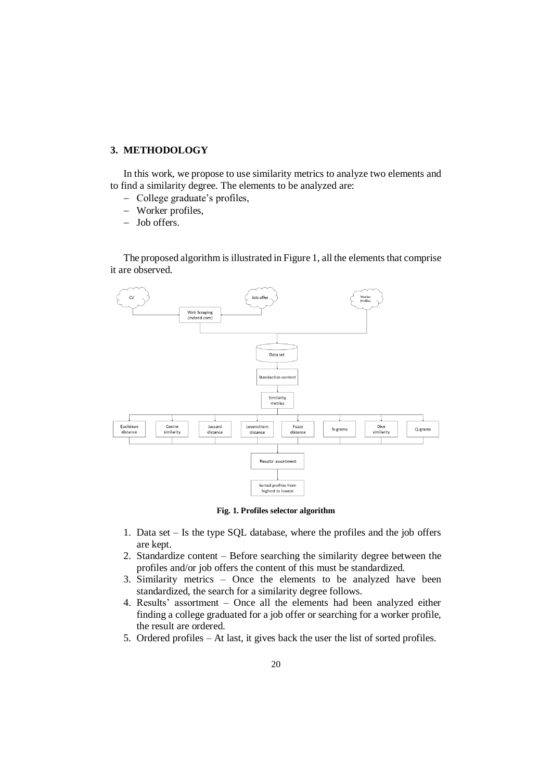# **3. METHODOLOGY**

In this work, we propose to use similarity metrics to analyze two elements and to find a similarity degree. The elements to be analyzed are:

- College graduate's profiles,
- Worker profiles,
- Job offers.

The proposed algorithm is illustrated in Figure 1, all the elements that comprise it are observed.



**Fig. 1. Profiles selector algorithm**

- 1. Data set Is the type SQL database, where the profiles and the job offers are kept.
- 2. Standardize content Before searching the similarity degree between the profiles and/or job offers the content of this must be standardized.
- 3. Similarity metrics Once the elements to be analyzed have been standardized, the search for a similarity degree follows.
- 4. Results' assortment Once all the elements had been analyzed either finding a college graduated for a job offer or searching for a worker profile, the result are ordered.
- 5. Ordered profiles At last, it gives back the user the list of sorted profiles.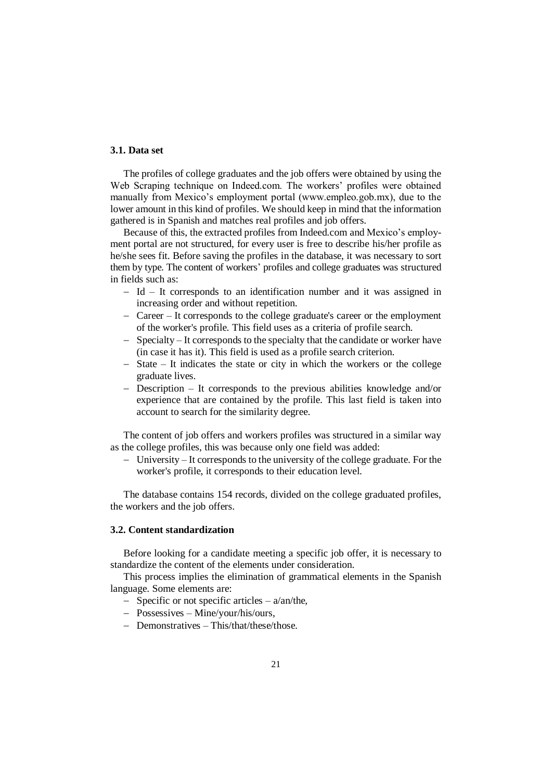# **3.1. Data set**

The profiles of college graduates and the job offers were obtained by using the Web Scraping technique on Indeed.com. The workers' profiles were obtained manually from Mexico's employment portal (www.empleo.gob.mx), due to the lower amount in this kind of profiles. We should keep in mind that the information gathered is in Spanish and matches real profiles and job offers.

Because of this, the extracted profiles from Indeed.com and Mexico's employment portal are not structured, for every user is free to describe his/her profile as he/she sees fit. Before saving the profiles in the database, it was necessary to sort them by type. The content of workers' profiles and college graduates was structured in fields such as:

- Id It corresponds to an identification number and it was assigned in increasing order and without repetition.
- Career It corresponds to the college graduate's career or the employment of the worker's profile. This field uses as a criteria of profile search.
- Specialty It corresponds to the specialty that the candidate or worker have (in case it has it). This field is used as a profile search criterion.
- $-$  State It indicates the state or city in which the workers or the college graduate lives.
- Description It corresponds to the previous abilities knowledge and/or experience that are contained by the profile. This last field is taken into account to search for the similarity degree.

The content of job offers and workers profiles was structured in a similar way as the college profiles, this was because only one field was added:

 University – It corresponds to the university of the college graduate. For the worker's profile, it corresponds to their education level.

The database contains 154 records, divided on the college graduated profiles, the workers and the job offers.

#### **3.2. Content standardization**

Before looking for a candidate meeting a specific job offer, it is necessary to standardize the content of the elements under consideration.

This process implies the elimination of grammatical elements in the Spanish language. Some elements are:

- Specific or not specific articles  $a$ /an/the,
- Possessives Mine/your/his/ours,
- Demonstratives This/that/these/those.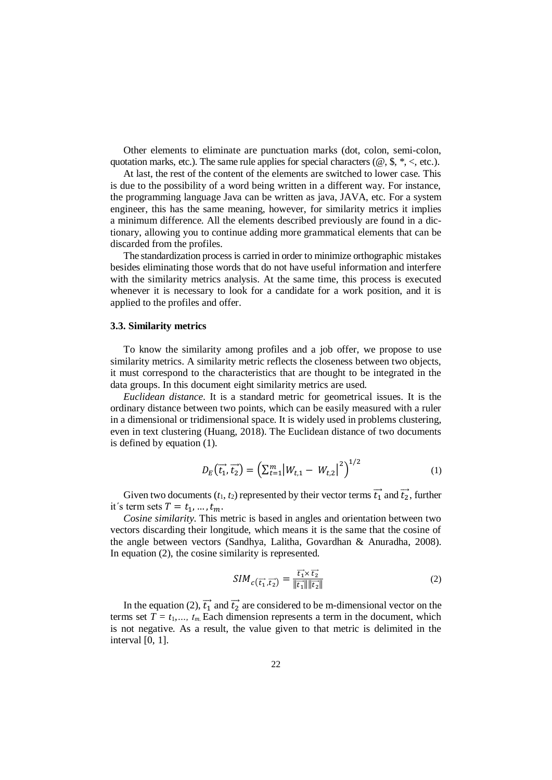Other elements to eliminate are punctuation marks (dot, colon, semi-colon, quotation marks, etc.). The same rule applies for special characters ( $\omega$ ,  $\frac{\pi}{3}$ ,  $\frac{\pi}{3}$ ,  $\lt$ , etc.).

At last, the rest of the content of the elements are switched to lower case. This is due to the possibility of a word being written in a different way. For instance, the programming language Java can be written as java, JAVA, etc. For a system engineer, this has the same meaning, however, for similarity metrics it implies a minimum difference. All the elements described previously are found in a dictionary, allowing you to continue adding more grammatical elements that can be discarded from the profiles.

The standardization process is carried in order to minimize orthographic mistakes besides eliminating those words that do not have useful information and interfere with the similarity metrics analysis. At the same time, this process is executed whenever it is necessary to look for a candidate for a work position, and it is applied to the profiles and offer.

#### **3.3. Similarity metrics**

To know the similarity among profiles and a job offer, we propose to use similarity metrics. A similarity metric reflects the closeness between two objects, it must correspond to the characteristics that are thought to be integrated in the data groups. In this document eight similarity metrics are used.

*Euclidean distance*. It is a standard metric for geometrical issues. It is the ordinary distance between two points, which can be easily measured with a ruler in a dimensional or tridimensional space. It is widely used in problems clustering, even in text clustering (Huang, 2018). The Euclidean distance of two documents is defined by equation (1).

$$
D_E(\vec{t_1}, \vec{t_2}) = (\sum_{t=1}^{m} |W_{t,1} - W_{t,2}|^2)^{1/2}
$$
 (1)

Given two documents  $(t_1, t_2)$  represented by their vector terms  $\vec{t_1}$  and  $\vec{t_2}$ , further it's term sets  $T = t_1, ..., t_m$ .

*Cosine similarity*. This metric is based in angles and orientation between two vectors discarding their longitude, which means it is the same that the cosine of the angle between vectors (Sandhya, Lalitha, Govardhan & Anuradha, 2008). In equation (2), the cosine similarity is represented.

$$
SIM_{c\left(\overrightarrow{t_{1}},\overrightarrow{t_{2}}\right)} = \frac{\overrightarrow{t_{1}} \times \overrightarrow{t_{2}}}{\|\overrightarrow{t_{1}}\| \|\overrightarrow{t_{2}}\|}
$$
(2)

In the equation (2),  $\vec{t}_1$  and  $\vec{t}_2$  are considered to be m-dimensional vector on the terms set  $T = t_1, \ldots, t_m$  Each dimension represents a term in the document, which is not negative. As a result, the value given to that metric is delimited in the interval [0, 1].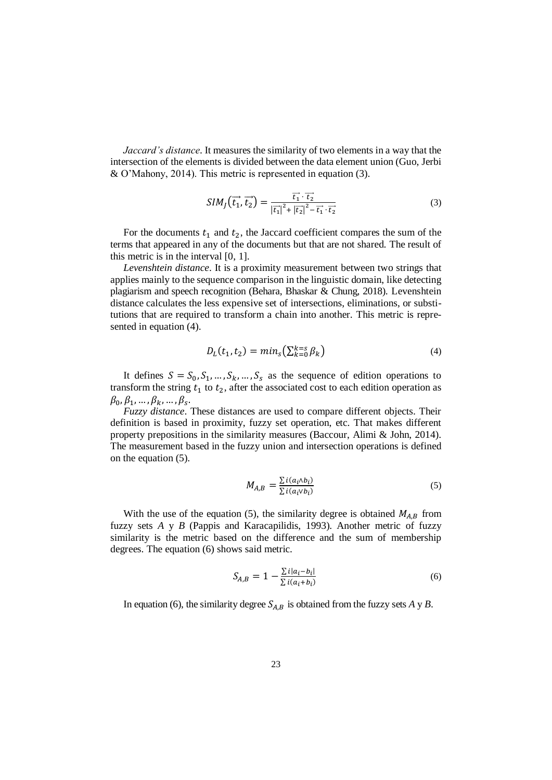*Jaccard's distance*. It measures the similarity of two elements in a way that the intersection of the elements is divided between the data element union (Guo, Jerbi & O'Mahony, 2014). This metric is represented in equation (3).

$$
SIM_J(\overrightarrow{t_1}, \overrightarrow{t_2}) = \frac{\overrightarrow{t_1} \cdot \overrightarrow{t_2}}{|\overrightarrow{t_1}|^2 + |\overrightarrow{t_2}|^2 - \overrightarrow{t_1} \cdot \overrightarrow{t_2}}
$$
(3)

For the documents  $t_1$  and  $t_2$ , the Jaccard coefficient compares the sum of the terms that appeared in any of the documents but that are not shared. The result of this metric is in the interval [0, 1].

*Levenshtein distance*. It is a proximity measurement between two strings that applies mainly to the sequence comparison in the linguistic domain, like detecting plagiarism and speech recognition (Behara, Bhaskar & Chung, 2018). Levenshtein distance calculates the less expensive set of intersections, eliminations, or substitutions that are required to transform a chain into another. This metric is represented in equation (4).

$$
D_L(t_1, t_2) = min_s(\sum_{k=0}^{k=s} \beta_k)
$$
\n(4)

It defines  $S = S_0, S_1, ..., S_k, ..., S_s$  as the sequence of edition operations to transform the string  $t_1$  to  $t_2$ , after the associated cost to each edition operation as  $\beta_0, \beta_1, ..., \beta_k, ..., \beta_s.$ 

*Fuzzy distance*. These distances are used to compare different objects. Their definition is based in proximity, fuzzy set operation, etc. That makes different property prepositions in the similarity measures (Baccour, Alimi & John, 2014). The measurement based in the fuzzy union and intersection operations is defined on the equation (5).

$$
M_{A,B} = \frac{\sum i (a_i \wedge b_i)}{\sum i (a_i \vee b_i)}\tag{5}
$$

With the use of the equation (5), the similarity degree is obtained  $M_{A,B}$  from fuzzy sets *A* y *B* (Pappis and Karacapilidis, 1993). Another metric of fuzzy similarity is the metric based on the difference and the sum of membership degrees. The equation (6) shows said metric.

$$
S_{A,B} = 1 - \frac{\sum i |a_i - b_i|}{\sum i (a_i + b_i)}
$$
(6)

In equation (6), the similarity degree  $S_{A,B}$  is obtained from the fuzzy sets *A* y *B*.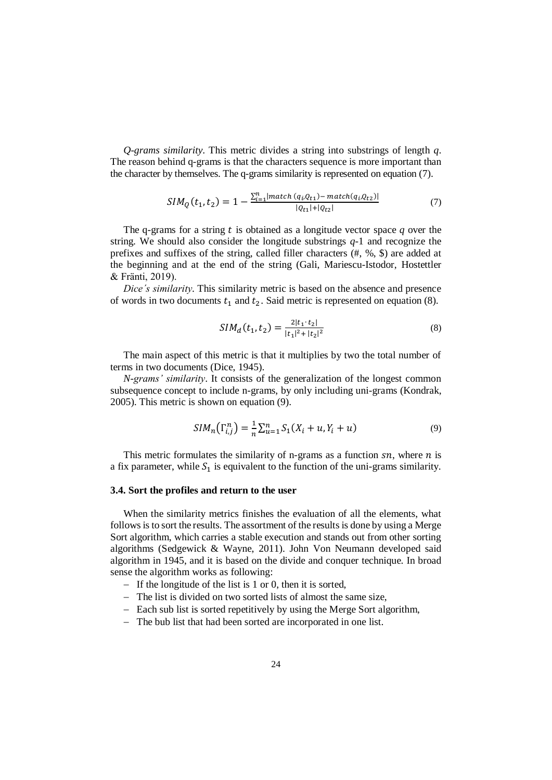*Q-grams similarity*. This metric divides a string into substrings of length *q*. The reason behind q-grams is that the characters sequence is more important than the character by themselves. The q-grams similarity is represented on equation (7).

$$
SIM_{Q}(t_{1}, t_{2}) = 1 - \frac{\sum_{i=1}^{n} |match (q_{i}, Q_{t1}) - match(q_{i}, Q_{t2})|}{|Q_{t1}| + |Q_{t2}|}
$$
(7)

The q-grams for a string  $t$  is obtained as a longitude vector space  $q$  over the string. We should also consider the longitude substrings *q-*1 and recognize the prefixes and suffixes of the string, called filler characters (#, %, \$) are added at the beginning and at the end of the string (Gali, Mariescu-Istodor, Hostettler & Fränti, 2019).

*Dice´s similarity*. This similarity metric is based on the absence and presence of words in two documents  $t_1$  and  $t_2$ . Said metric is represented on equation (8).

$$
SIM_d(t_1, t_2) = \frac{2|t_1 \cdot t_2|}{|t_1|^2 + |t_2|^2}
$$
\n(8)

The main aspect of this metric is that it multiplies by two the total number of terms in two documents (Dice, 1945).

*N-grams' similarity*. It consists of the generalization of the longest common subsequence concept to include n-grams, by only including uni-grams (Kondrak, 2005). This metric is shown on equation (9).

$$
SIM_n(\Gamma_{i,j}^n) = \frac{1}{n} \sum_{u=1}^n S_1(X_i + u, Y_i + u)
$$
\n(9)

This metric formulates the similarity of n-grams as a function  $sn$ , where  $n$  is a fix parameter, while  $S_1$  is equivalent to the function of the uni-grams similarity.

## **3.4. Sort the profiles and return to the user**

When the similarity metrics finishes the evaluation of all the elements, what follows is to sort the results. The assortment of the results is done by using a Merge Sort algorithm, which carries a stable execution and stands out from other sorting algorithms (Sedgewick & Wayne, 2011). John Von Neumann developed said algorithm in 1945, and it is based on the divide and conquer technique. In broad sense the algorithm works as following:

- $-I$  If the longitude of the list is 1 or 0, then it is sorted,
- The list is divided on two sorted lists of almost the same size,
- Each sub list is sorted repetitively by using the Merge Sort algorithm,
- The bub list that had been sorted are incorporated in one list.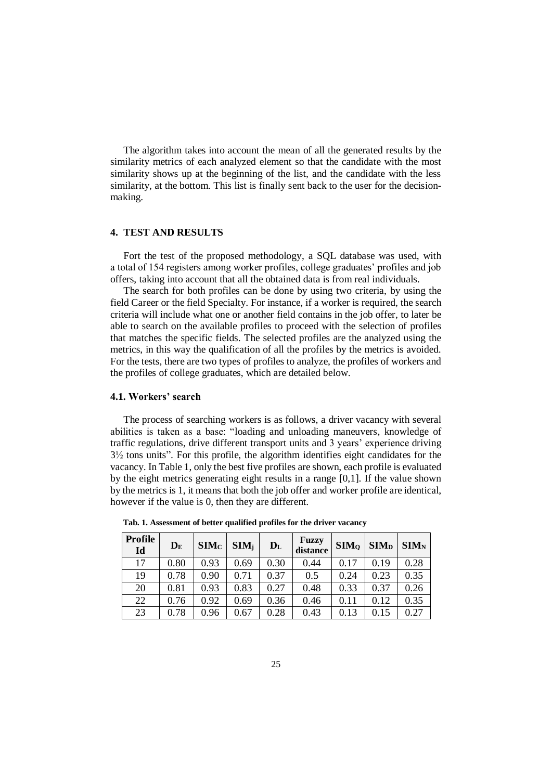The algorithm takes into account the mean of all the generated results by the similarity metrics of each analyzed element so that the candidate with the most similarity shows up at the beginning of the list, and the candidate with the less similarity, at the bottom. This list is finally sent back to the user for the decisionmaking.

# **4. TEST AND RESULTS**

Fort the test of the proposed methodology, a SQL database was used, with a total of 154 registers among worker profiles, college graduates' profiles and job offers, taking into account that all the obtained data is from real individuals.

The search for both profiles can be done by using two criteria, by using the field Career or the field Specialty. For instance, if a worker is required, the search criteria will include what one or another field contains in the job offer, to later be able to search on the available profiles to proceed with the selection of profiles that matches the specific fields. The selected profiles are the analyzed using the metrics, in this way the qualification of all the profiles by the metrics is avoided. For the tests, there are two types of profiles to analyze, the profiles of workers and the profiles of college graduates, which are detailed below.

## **4.1. Workers' search**

The process of searching workers is as follows, a driver vacancy with several abilities is taken as a base: "loading and unloading maneuvers, knowledge of traffic regulations, drive different transport units and 3 years' experience driving  $3\frac{1}{2}$  tons units". For this profile, the algorithm identifies eight candidates for the vacancy. In Table 1, only the best five profiles are shown, each profile is evaluated by the eight metrics generating eight results in a range [0,1]. If the value shown by the metrics is 1, it means that both the job offer and worker profile are identical, however if the value is 0, then they are different.

| <b>Profile</b><br>Id | $D_{E}$ | SIM <sub>C</sub> | $SIM_i$ | $\mathbf{D}_{\mathrm{L}}$ | Fuzzy<br>distance | SIM <sub>o</sub> | SIM <sub>D</sub> | $SIM_{N}$ |
|----------------------|---------|------------------|---------|---------------------------|-------------------|------------------|------------------|-----------|
| 17                   | 0.80    | 0.93             | 0.69    | 0.30                      | 0.44              | 0.17             | 0.19             | 0.28      |
| 19                   | 0.78    | 0.90             | 0.71    | 0.37                      | 0.5               | 0.24             | 0.23             | 0.35      |
| 20                   | 0.81    | 0.93             | 0.83    | 0.27                      | 0.48              | 0.33             | 0.37             | 0.26      |
| 22                   | 0.76    | 0.92             | 0.69    | 0.36                      | 0.46              | 0.11             | 0.12             | 0.35      |
| 23                   | 0.78    | 0.96             | 0.67    | 0.28                      | 0.43              | 0.13             | 0.15             | 0.27      |

 **Tab. 1. Assessment of better qualified profiles for the driver vacancy**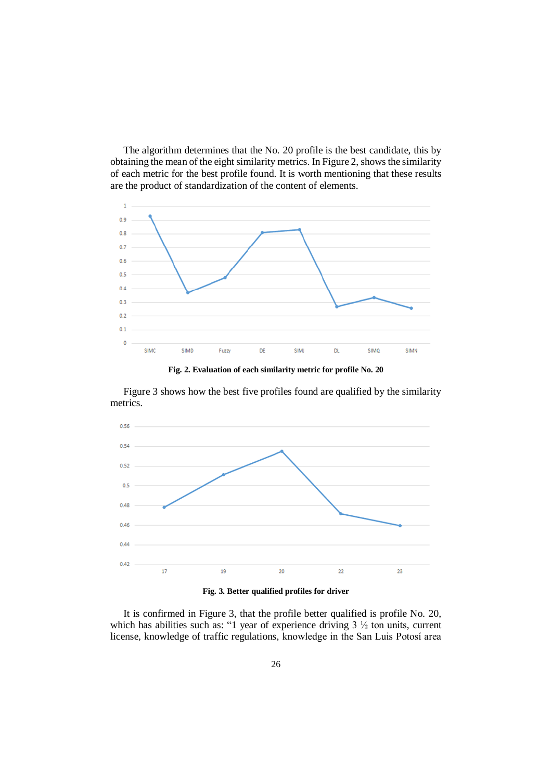The algorithm determines that the No. 20 profile is the best candidate, this by obtaining the mean of the eight similarity metrics. In Figure 2, shows the similarity of each metric for the best profile found. It is worth mentioning that these results are the product of standardization of the content of elements.



**Fig. 2. Evaluation of each similarity metric for profile No. 20**

Figure 3 shows how the best five profiles found are qualified by the similarity metrics.



**Fig. 3. Better qualified profiles for driver**

It is confirmed in Figure 3, that the profile better qualified is profile No. 20, which has abilities such as: "1 year of experience driving  $3\frac{1}{2}$  ton units, current license, knowledge of traffic regulations, knowledge in the San Luis Potosí area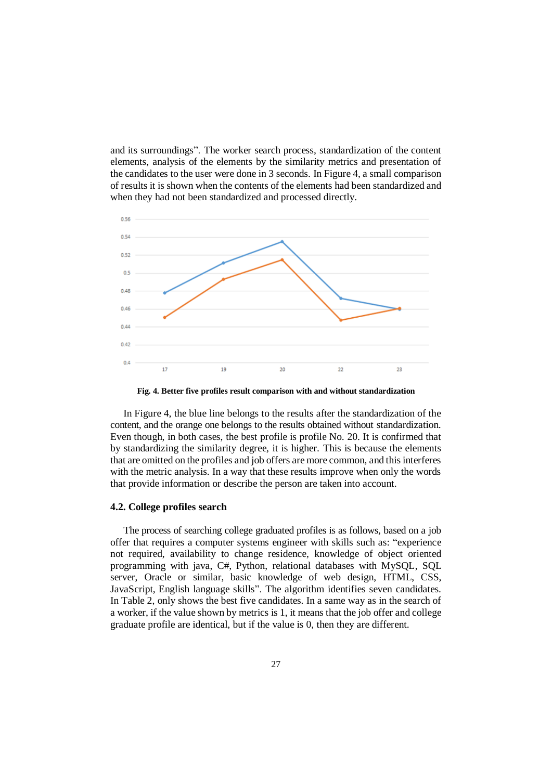and its surroundings". The worker search process, standardization of the content elements, analysis of the elements by the similarity metrics and presentation of the candidates to the user were done in 3 seconds. In Figure 4, a small comparison of results it is shown when the contents of the elements had been standardized and when they had not been standardized and processed directly.



**Fig. 4. Better five profiles result comparison with and without standardization**

In Figure 4, the blue line belongs to the results after the standardization of the content, and the orange one belongs to the results obtained without standardization. Even though, in both cases, the best profile is profile No. 20. It is confirmed that by standardizing the similarity degree, it is higher. This is because the elements that are omitted on the profiles and job offers are more common, and this interferes with the metric analysis. In a way that these results improve when only the words that provide information or describe the person are taken into account.

# **4.2. College profiles search**

The process of searching college graduated profiles is as follows, based on a job offer that requires a computer systems engineer with skills such as: "experience not required, availability to change residence, knowledge of object oriented programming with java, C#, Python, relational databases with MySQL, SQL server, Oracle or similar, basic knowledge of web design, HTML, CSS, JavaScript, English language skills". The algorithm identifies seven candidates. In Table 2, only shows the best five candidates. In a same way as in the search of a worker, if the value shown by metrics is 1, it means that the job offer and college graduate profile are identical, but if the value is 0, then they are different.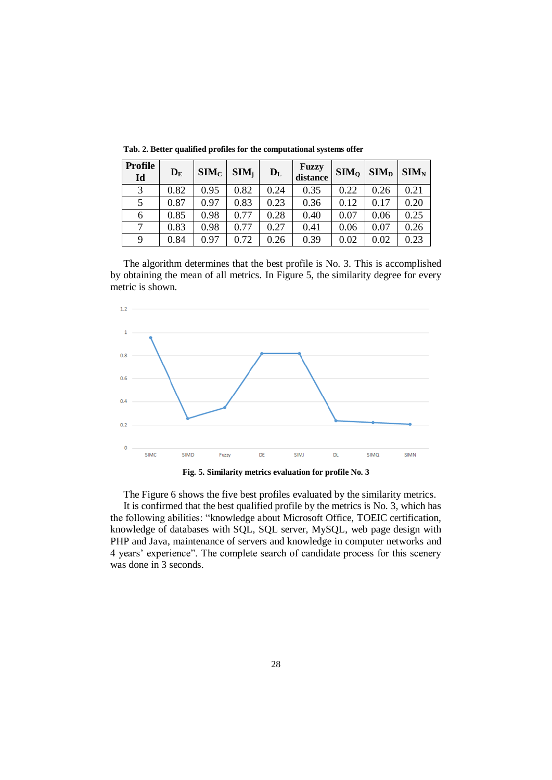| <b>Profile</b><br>Id | $D_{\rm E}$ | SIM <sub>C</sub> | $SIM_i$ | $D_{L}$ | Fuzzy<br>distance | SIM <sub>o</sub> | SIM <sub>D</sub> | SIM <sub>N</sub> |
|----------------------|-------------|------------------|---------|---------|-------------------|------------------|------------------|------------------|
| 3                    | 0.82        | 0.95             | 0.82    | 0.24    | 0.35              | 0.22             | 0.26             | 0.21             |
| 5                    | 0.87        | 0.97             | 0.83    | 0.23    | 0.36              | 0.12             | 0.17             | 0.20             |
| 6                    | 0.85        | 0.98             | 0.77    | 0.28    | 0.40              | 0.07             | 0.06             | 0.25             |
|                      | 0.83        | 0.98             | 0.77    | 0.27    | 0.41              | 0.06             | 0.07             | 0.26             |
| 9                    | 0.84        | 0.97             | 0.72    | 0.26    | 0.39              | 0.02             | 0.02             | 0.23             |

**Tab. 2. Better qualified profiles for the computational systems offer**

The algorithm determines that the best profile is No. 3. This is accomplished by obtaining the mean of all metrics. In Figure 5, the similarity degree for every metric is shown.





The Figure 6 shows the five best profiles evaluated by the similarity metrics. It is confirmed that the best qualified profile by the metrics is No. 3, which has the following abilities: "knowledge about Microsoft Office, TOEIC certification, knowledge of databases with SQL, SQL server, MySQL, web page design with PHP and Java, maintenance of servers and knowledge in computer networks and 4 years' experience". The complete search of candidate process for this scenery was done in 3 seconds.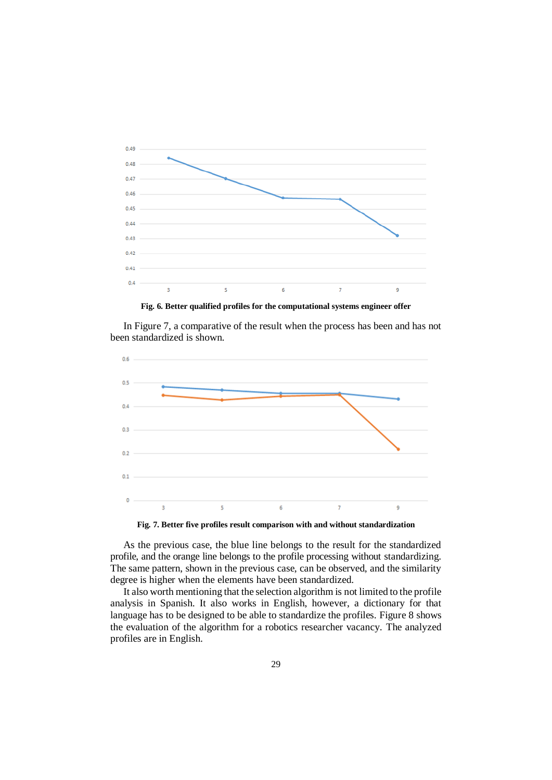

**Fig. 6. Better qualified profiles for the computational systems engineer offer**

In Figure 7, a comparative of the result when the process has been and has not been standardized is shown.



**Fig. 7. Better five profiles result comparison with and without standardization**

As the previous case, the blue line belongs to the result for the standardized profile, and the orange line belongs to the profile processing without standardizing. The same pattern, shown in the previous case, can be observed, and the similarity degree is higher when the elements have been standardized.

It also worth mentioning that the selection algorithm is not limited to the profile analysis in Spanish. It also works in English, however, a dictionary for that language has to be designed to be able to standardize the profiles. Figure 8 shows the evaluation of the algorithm for a robotics researcher vacancy. The analyzed profiles are in English.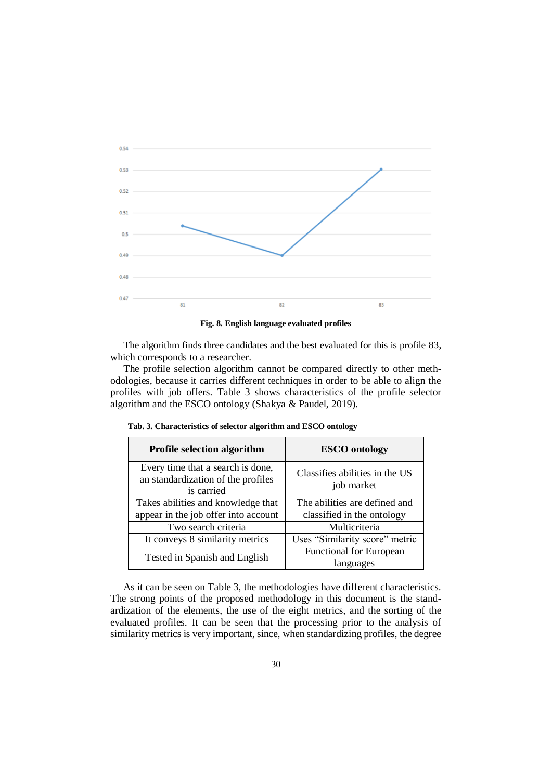

**Fig. 8. English language evaluated profiles**

The algorithm finds three candidates and the best evaluated for this is profile 83, which corresponds to a researcher.

The profile selection algorithm cannot be compared directly to other methodologies, because it carries different techniques in order to be able to align the profiles with job offers. Table 3 shows characteristics of the profile selector algorithm and the ESCO ontology (Shakya & Paudel, 2019).

| <b>Profile selection algorithm</b>                                                    | <b>ESCO</b> ontology                         |  |  |  |
|---------------------------------------------------------------------------------------|----------------------------------------------|--|--|--|
| Every time that a search is done,<br>an standardization of the profiles<br>is carried | Classifies abilities in the US<br>job market |  |  |  |
| Takes abilities and knowledge that                                                    | The abilities are defined and                |  |  |  |
| appear in the job offer into account                                                  | classified in the ontology                   |  |  |  |
| Two search criteria                                                                   | Multicriteria                                |  |  |  |
| It conveys 8 similarity metrics                                                       | Uses "Similarity score" metric               |  |  |  |
| Tested in Spanish and English                                                         | <b>Functional for European</b><br>languages  |  |  |  |

 **Tab. 3. Characteristics of selector algorithm and ESCO ontology**

As it can be seen on Table 3, the methodologies have different characteristics. The strong points of the proposed methodology in this document is the standardization of the elements, the use of the eight metrics, and the sorting of the evaluated profiles. It can be seen that the processing prior to the analysis of similarity metrics is very important, since, when standardizing profiles, the degree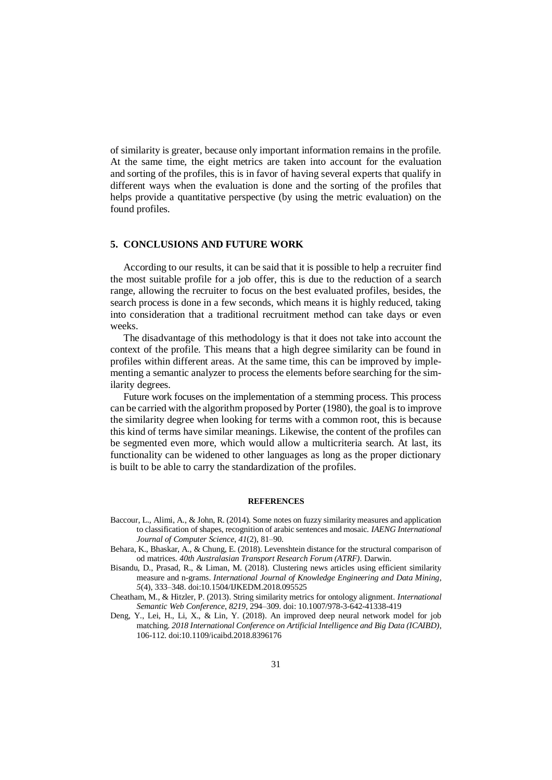of similarity is greater, because only important information remains in the profile. At the same time, the eight metrics are taken into account for the evaluation and sorting of the profiles, this is in favor of having several experts that qualify in different ways when the evaluation is done and the sorting of the profiles that helps provide a quantitative perspective (by using the metric evaluation) on the found profiles.

# **5. CONCLUSIONS AND FUTURE WORK**

According to our results, it can be said that it is possible to help a recruiter find the most suitable profile for a job offer, this is due to the reduction of a search range, allowing the recruiter to focus on the best evaluated profiles, besides, the search process is done in a few seconds, which means it is highly reduced, taking into consideration that a traditional recruitment method can take days or even weeks.

The disadvantage of this methodology is that it does not take into account the context of the profile. This means that a high degree similarity can be found in profiles within different areas. At the same time, this can be improved by implementing a semantic analyzer to process the elements before searching for the similarity degrees.

Future work focuses on the implementation of a stemming process. This process can be carried with the algorithm proposed by Porter (1980), the goal is to improve the similarity degree when looking for terms with a common root, this is because this kind of terms have similar meanings. Likewise, the content of the profiles can be segmented even more, which would allow a multicriteria search. At last, its functionality can be widened to other languages as long as the proper dictionary is built to be able to carry the standardization of the profiles.

## **REFERENCES**

- Baccour, L., Alimi, A., & John, R. (2014). Some notes on fuzzy similarity measures and application to classification of shapes, recognition of arabic sentences and mosaic. *IAENG International Journal of Computer Science*, *41*(2), 81–90.
- Behara, K., Bhaskar, A., & Chung, E. (2018). Levenshtein distance for the structural comparison of od matrices. *40th Australasian Transport Research Forum (ATRF)*. Darwin.
- Bisandu, D., Prasad, R., & Liman, M. (2018). Clustering news articles using efficient similarity measure and n-grams. *International Journal of Knowledge Engineering and Data Mining*, *5*(4), 333–348. doi:10.1504/IJKEDM.2018.095525
- Cheatham, M., & Hitzler, P. (2013). String similarity metrics for ontology alignment. *International Semantic Web Conference*, *8219*, 294–309. doi: 10.1007/978-3-642-41338-419
- Deng, Y., Lei, H., Li, X., & Lin, Y. (2018). An improved deep neural network model for job matching. *2018 International Conference on Artificial Intelligence and Big Data (ICAIBD)*, 106-112. doi:10.1109/icaibd.2018.8396176